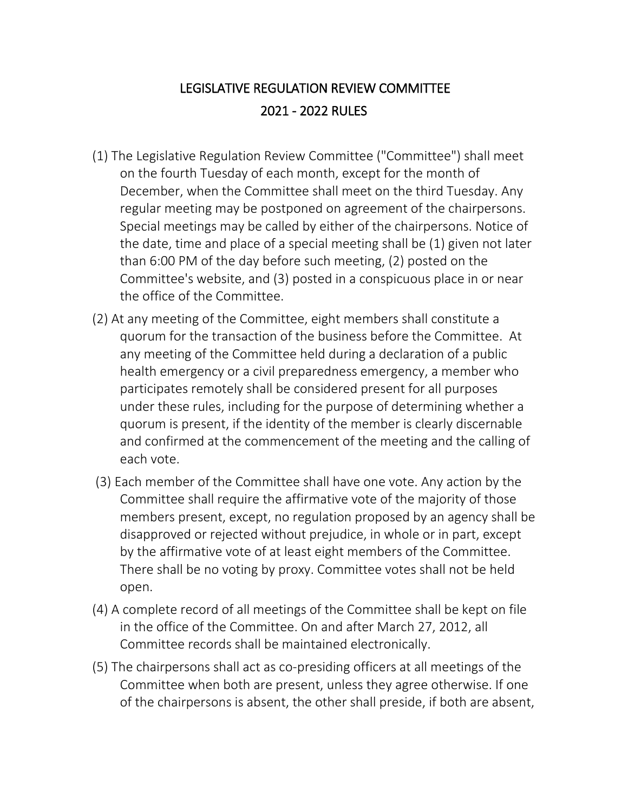## LEGISLATIVE REGULATION REVIEW COMMITTEE 2021 - 2022 RULES

- (1) The Legislative Regulation Review Committee ("Committee") shall meet on the fourth Tuesday of each month, except for the month of December, when the Committee shall meet on the third Tuesday. Any regular meeting may be postponed on agreement of the chairpersons. Special meetings may be called by either of the chairpersons. Notice of the date, time and place of a special meeting shall be (1) given not later than 6:00 PM of the day before such meeting, (2) posted on the Committee's website, and (3) posted in a conspicuous place in or near the office of the Committee.
- (2) At any meeting of the Committee, eight members shall constitute a quorum for the transaction of the business before the Committee. At any meeting of the Committee held during a declaration of a public health emergency or a civil preparedness emergency, a member who participates remotely shall be considered present for all purposes under these rules, including for the purpose of determining whether a quorum is present, if the identity of the member is clearly discernable and confirmed at the commencement of the meeting and the calling of each vote.
- (3) Each member of the Committee shall have one vote. Any action by the Committee shall require the affirmative vote of the majority of those members present, except, no regulation proposed by an agency shall be disapproved or rejected without prejudice, in whole or in part, except by the affirmative vote of at least eight members of the Committee. There shall be no voting by proxy. Committee votes shall not be held open.
- (4) A complete record of all meetings of the Committee shall be kept on file in the office of the Committee. On and after March 27, 2012, all Committee records shall be maintained electronically.
- (5) The chairpersons shall act as co-presiding officers at all meetings of the Committee when both are present, unless they agree otherwise. If one of the chairpersons is absent, the other shall preside, if both are absent,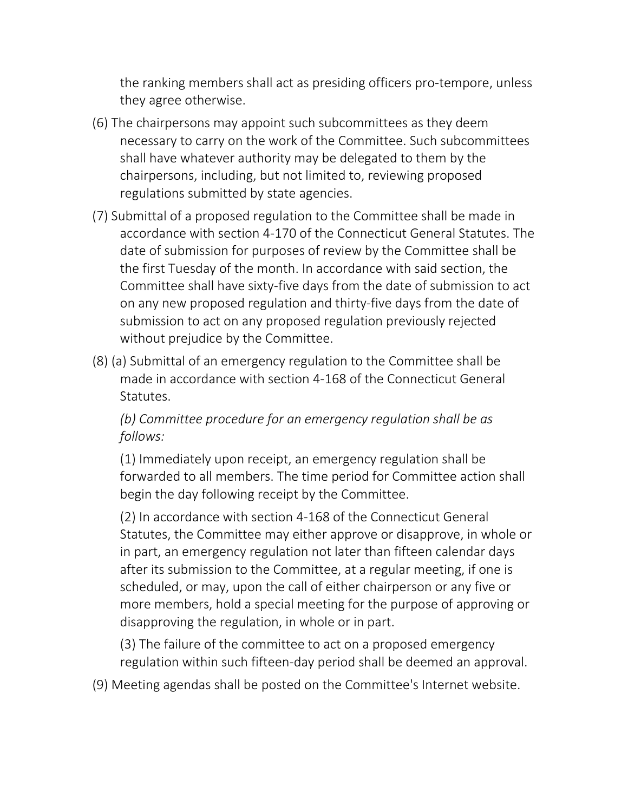the ranking members shall act as presiding officers pro-tempore, unless they agree otherwise.

- (6) The chairpersons may appoint such subcommittees as they deem necessary to carry on the work of the Committee. Such subcommittees shall have whatever authority may be delegated to them by the chairpersons, including, but not limited to, reviewing proposed regulations submitted by state agencies.
- (7) Submittal of a proposed regulation to the Committee shall be made in accordance with section 4-170 of the Connecticut General Statutes. The date of submission for purposes of review by the Committee shall be the first Tuesday of the month. In accordance with said section, the Committee shall have sixty-five days from the date of submission to act on any new proposed regulation and thirty-five days from the date of submission to act on any proposed regulation previously rejected without prejudice by the Committee.
- (8) (a) Submittal of an emergency regulation to the Committee shall be made in accordance with section 4-168 of the Connecticut General Statutes.

*(b) Committee procedure for an emergency regulation shall be as follows:* 

(1) Immediately upon receipt, an emergency regulation shall be forwarded to all members. The time period for Committee action shall begin the day following receipt by the Committee.

(2) In accordance with section 4-168 of the Connecticut General Statutes, the Committee may either approve or disapprove, in whole or in part, an emergency regulation not later than fifteen calendar days after its submission to the Committee, at a regular meeting, if one is scheduled, or may, upon the call of either chairperson or any five or more members, hold a special meeting for the purpose of approving or disapproving the regulation, in whole or in part.

(3) The failure of the committee to act on a proposed emergency regulation within such fifteen-day period shall be deemed an approval.

(9) Meeting agendas shall be posted on the Committee's Internet website.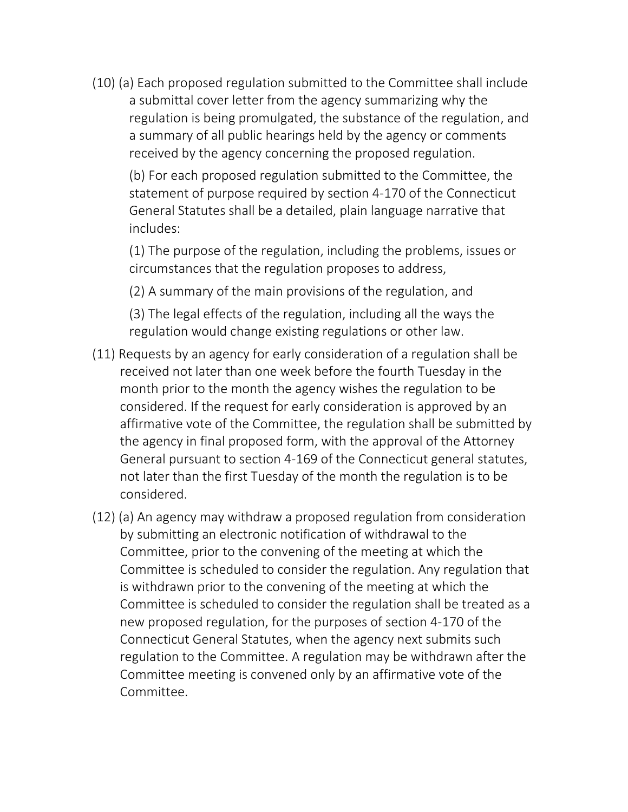(10) (a) Each proposed regulation submitted to the Committee shall include a submittal cover letter from the agency summarizing why the regulation is being promulgated, the substance of the regulation, and a summary of all public hearings held by the agency or comments received by the agency concerning the proposed regulation.

(b) For each proposed regulation submitted to the Committee, the statement of purpose required by section 4-170 of the Connecticut General Statutes shall be a detailed, plain language narrative that includes:

(1) The purpose of the regulation, including the problems, issues or circumstances that the regulation proposes to address,

(2) A summary of the main provisions of the regulation, and

(3) The legal effects of the regulation, including all the ways the regulation would change existing regulations or other law.

- (11) Requests by an agency for early consideration of a regulation shall be received not later than one week before the fourth Tuesday in the month prior to the month the agency wishes the regulation to be considered. If the request for early consideration is approved by an affirmative vote of the Committee, the regulation shall be submitted by the agency in final proposed form, with the approval of the Attorney General pursuant to section 4-169 of the Connecticut general statutes, not later than the first Tuesday of the month the regulation is to be considered.
- (12) (a) An agency may withdraw a proposed regulation from consideration by submitting an electronic notification of withdrawal to the Committee, prior to the convening of the meeting at which the Committee is scheduled to consider the regulation. Any regulation that is withdrawn prior to the convening of the meeting at which the Committee is scheduled to consider the regulation shall be treated as a new proposed regulation, for the purposes of section 4-170 of the Connecticut General Statutes, when the agency next submits such regulation to the Committee. A regulation may be withdrawn after the Committee meeting is convened only by an affirmative vote of the Committee.